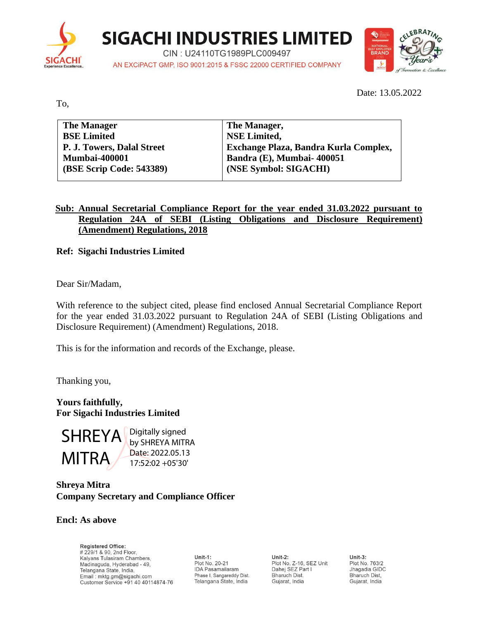

**SIGACHI INDUSTRIES LIMITED** 

CIN: U24110TG1989PLC009497 AN EXCIPACT GMP, ISO 9001:2015 & FSSC 22000 CERTIFIED COMPANY



Date: 13.05.2022

To,

| <b>The Manager</b>                | The Manager,                          |
|-----------------------------------|---------------------------------------|
| <b>BSE Limited</b>                | <b>NSE Limited.</b>                   |
| <b>P. J. Towers, Dalal Street</b> | Exchange Plaza, Bandra Kurla Complex, |
| <b>Mumbai-400001</b>              | Bandra (E), Mumbai-400051             |
| (BSE Scrip Code: 543389)          | (NSE Symbol: SIGACHI)                 |
|                                   |                                       |

## **Sub: Annual Secretarial Compliance Report for the year ended 31.03.2022 pursuant to Regulation 24A of SEBI (Listing Obligations and Disclosure Requirement) (Amendment) Regulations, 2018**

**Ref: Sigachi Industries Limited**

Dear Sir/Madam,

With reference to the subject cited, please find enclosed Annual Secretarial Compliance Report for the year ended 31.03.2022 pursuant to Regulation 24A of SEBI (Listing Obligations and Disclosure Requirement) (Amendment) Regulations, 2018.

This is for the information and records of the Exchange, please.

Thanking you,

**Yours faithfully, For Sigachi Industries Limited**



Digitally signed by SHREYA MITRA Date: 2022.05.13 17:52:02 +05'30'

## **Shreya Mitra Company Secretary and Compliance Officer**

#### **Encl: As above**

**Registered Office:** # 229/1 & 90, 2nd Floor, Kalyans Tulasiram Chambers, Madinaguda, Hyderabad - 49, Telangana State, India. Email: mktg.gm@sigachi.com Customer Service +91 40 40114874-76

Unit-1: Plot No. 20-21 **IDA Pasamailaram** Phase I, Sangareddy Dist. Telangana State, India

Unit-2: Plot No. Z-16, SEZ Unit Dahej SEZ Part I Bharuch Dist. Gujarat, India

Unit- $3:$ Plot No. 763/2 Jhagadia GIDC Bharuch Dist, Gujarat, India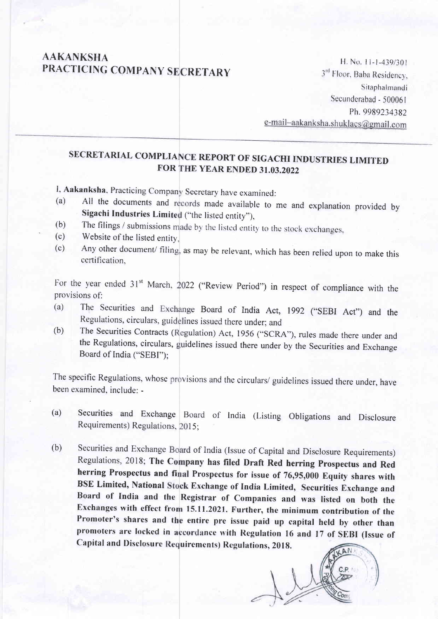# **AAKANKSHA** PRACTICING COMPANY SECRETARY

H. No. 11-1-439/301 3rd Floor, Baba Residency, Sitaphalmandi Secunderabad - 500061 Ph. 9989234382 e-mail-aakanksha.shuklacs@gmail.com

# SECRETARIAL COMPLIANCE REPORT OF SIGACHI INDUSTRIES LIMITED FOR THE YEAR ENDED 31.03.2022

I, Aakanksha, Practicing Company Secretary have examined:

- All the documents and records made available to me and explanation provided by  $(a)$ Sigachi Industries Limited ("the listed entity"),
- The filings / submissions made by the listed entity to the stock exchanges,  $(b)$
- Website of the listed entity.  $(c)$
- Any other document/ filing, as may be relevant, which has been relied upon to make this  $(c)$ certification,

For the year ended 31<sup>st</sup> March, 2022 ("Review Period") in respect of compliance with the provisions of:

- The Securities and Exchange Board of India Act, 1992 ("SEBI Act") and the  $(a)$ Regulations, circulars, guidelines issued there under; and
- The Securities Contracts (Regulation) Act, 1956 ("SCRA"), rules made there under and  $(b)$ the Regulations, circulars, guidelines issued there under by the Securities and Exchange Board of India ("SEBI");

The specific Regulations, whose provisions and the circulars/ guidelines issued there under, have been examined, include: -

- Securities and Exchange Board of India (Listing Obligations and Disclosure  $(a)$ Requirements) Regulations, 2015;
- Securities and Exchange Board of India (Issue of Capital and Disclosure Requirements)  $(b)$ Regulations, 2018; The Company has filed Draft Red herring Prospectus and Red herring Prospectus and final Prospectus for issue of 76,95,000 Equity shares with BSE Limited, National Stock Exchange of India Limited, Securities Exchange and Board of India and the Registrar of Companies and was listed on both the Exchanges with effect from 15.11.2021. Further, the minimum contribution of the Promoter's shares and the entire pre issue paid up capital held by other than promoters are locked in accordance with Regulation 16 and 17 of SEBI (Issue of Capital and Disclosure Requirements) Regulations, 2018. AN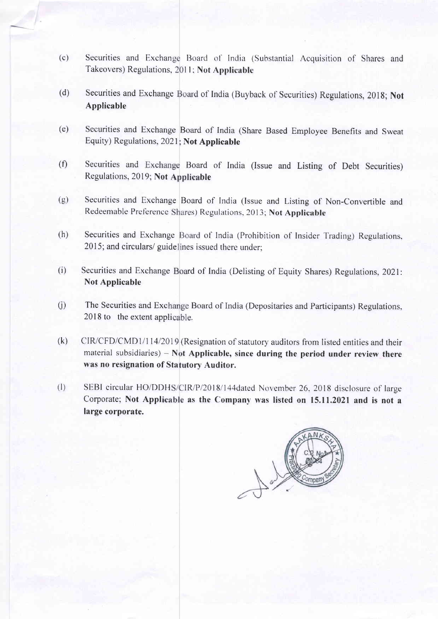- (c) Securities and Exchange Board of India (Substantial Acquisition of Shares and Takeovers) Regulations, 2011; Not Applicable
- (d) Securities and Exchange Board of India (Buyback of Securities) Regulations, 2018; Not Applicable
- (e) Securities and Exchange Board of India (Share Based Employee Benefits and Sweat Equity) Regulations, 2021; Not Applicable
- $(f)$ Securities and Exchange Board of India (Issue and Listing of Debt Securities) Regulations, 2019; Not Applicable
- (e) Securities and Exchange Board of India (lssue and Listing of Non-Convertible and Redeemable Preference Shares) Regulations, 2013; Not Applicable
- (h) Securities and Exchange Board of India (Prohibition of Insider Trading) Regulations. 2015; and circulars/ guidelines issued there under;
- (i) Securities and Exchange Board of India (Delisting of Equity Shares) Regulations, 2021 Not Applicable
- $(i)$ The Securities and Exchange Board of India (Depositaries and Participants) Regulations 2018 to the extent applicable.
- CIR/CFD/CMD1/114/2019 (Resignation of statutory auditors from listed entities and their material subsidiaries) - Not Applicable, since during the period under review there was no resignation of Statutory Auditor. (k)
- (I) SEBI circular HO/DDHS/CIR/P/2018/144dated November 26, 2018 disclosure of large Corporate; Not Applicable as the Company was listed on 15.11.2021 and is not a large corporate.

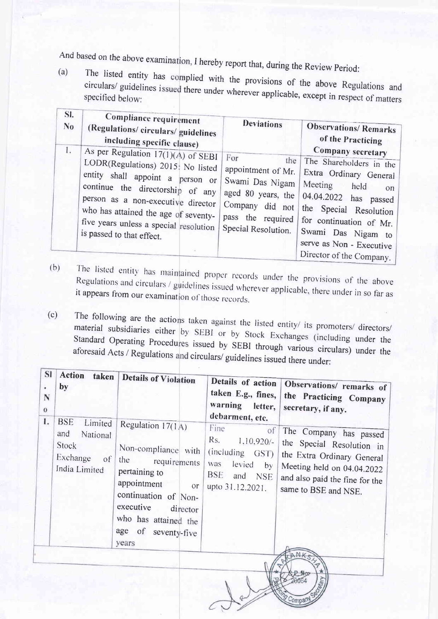And based on the above examina I hereby report that, during the Review Period:

(a) The listed entity has complied with the provisions of the above Regulations and circulars/ guidelines issued there under where  $\frac{1}{2}$ . circulars/ guidelines <sup>i</sup> specified below:<br>specified below:

| SI.            | Compliance requirement                                                                                                                                                                                                                                                                                 | <b>Deviations</b>                                                                                                                        | <b>Observations/Remarks</b>                                                                                                                                                                                                            |
|----------------|--------------------------------------------------------------------------------------------------------------------------------------------------------------------------------------------------------------------------------------------------------------------------------------------------------|------------------------------------------------------------------------------------------------------------------------------------------|----------------------------------------------------------------------------------------------------------------------------------------------------------------------------------------------------------------------------------------|
| N <sub>0</sub> | (Regulations/circulars/guidelines                                                                                                                                                                                                                                                                      |                                                                                                                                          | of the Practicing                                                                                                                                                                                                                      |
| 1.             | including specific clause)                                                                                                                                                                                                                                                                             |                                                                                                                                          | Company secretary                                                                                                                                                                                                                      |
|                | As per Regulation $17(1)(A)$ of SEBI<br>LODR(Regulations) 2015; No listed<br>entity shall appoint a person or<br>continue the directorship of any<br>person as a non-executive director<br>who has attained the age of seventy-<br>five years unless a special resolution<br>is passed to that effect. | For<br>the<br>appointment of Mr.<br>Swami Das Nigam<br>aged 80 years, the<br>Company did not<br>pass the required<br>Special Resolution. | The Shareholders in the<br>Extra Ordinary General<br>Meeting<br>held<br>on<br>04.04.2022 has passed<br>the Special Resolution<br>for continuation of Mr.<br>Swami Das Nigam to<br>serve as Non - Executive<br>Director of the Company. |

The listed entity has maintained proper records under the provisions of the above Regulations and circulars / Fic fisted entity has maintained proper records under the provisions of the above<br>Regulations and circulars / guidelines issued wherever applicable, there under in so far as<br>it appears from our examination of those records (b)

The following are the actio material subsidiaries either The following are the actions taken against the listed entity/ its promoters/ directors/<br>material subsidiaries either by SEBI or by Stock Exchanges (including under the<br>Standard Operating Procedures issued by SEDI 4 aforesaid Acts / Regulations and circulars/ guidelines issued there under: directors/ issued by SEBI through various circulars) under the (c)

| <b>SI</b><br>٠<br>N<br>$\bf{0}$<br>1. | <b>Action</b><br>taken<br>by<br><b>BSE</b><br>Limited                  | <b>Details of Violation</b>                                                                                                                                                                                         | Details of action<br>warning letter,<br>debarment, etc.                                                                         | Observations/ remarks of<br>taken E.g., fines,   the Practicing Company<br>secretary, if any.                                                                             |
|---------------------------------------|------------------------------------------------------------------------|---------------------------------------------------------------------------------------------------------------------------------------------------------------------------------------------------------------------|---------------------------------------------------------------------------------------------------------------------------------|---------------------------------------------------------------------------------------------------------------------------------------------------------------------------|
|                                       | and<br>National<br>Stock<br>Exchange<br><sub>of</sub><br>India Limited | Regulation 17(1A)<br>Non-compliance with<br>the requirements<br>pertaining to<br>appointment<br><sub>or</sub><br>continuation of Non-<br>executive director<br>who has attained the<br>age of seventy-five<br>years | Fine<br>$\sigma$<br>Rs.<br>$1,10,920/$ -<br>(including GST)<br>was<br>levied<br>by<br><b>BSE</b><br>and NSE<br>upto 31.12.2021. | The Company has passed<br>the Special Resolution in<br>the Extra Ordinary General<br>Meeting held on 04.04.2022<br>and also paid the fine for the<br>same to BSE and NSE. |